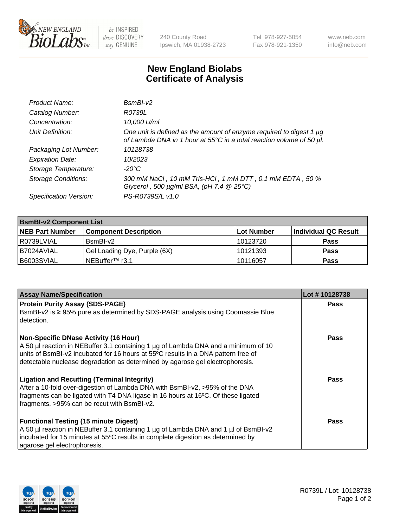

 $be$  INSPIRED drive DISCOVERY stay GENUINE

240 County Road Ipswich, MA 01938-2723 Tel 978-927-5054 Fax 978-921-1350 www.neb.com info@neb.com

## **New England Biolabs Certificate of Analysis**

| Product Name:              | $BsmBI-v2$                                                                                                                                  |
|----------------------------|---------------------------------------------------------------------------------------------------------------------------------------------|
| Catalog Number:            | R0739L                                                                                                                                      |
| Concentration:             | 10,000 U/ml                                                                                                                                 |
| Unit Definition:           | One unit is defined as the amount of enzyme required to digest 1 µg<br>of Lambda DNA in 1 hour at 55°C in a total reaction volume of 50 µl. |
| Packaging Lot Number:      | 10128738                                                                                                                                    |
| <b>Expiration Date:</b>    | 10/2023                                                                                                                                     |
| Storage Temperature:       | $-20^{\circ}$ C                                                                                                                             |
| <b>Storage Conditions:</b> | 300 mM NaCl, 10 mM Tris-HCl, 1 mM DTT, 0.1 mM EDTA, 50 %<br>Glycerol, 500 $\mu$ g/ml BSA, (pH 7.4 $@25°C$ )                                 |
| Specification Version:     | PS-R0739S/L v1.0                                                                                                                            |

| <b>BsmBI-v2 Component List</b> |                              |                   |                      |  |  |
|--------------------------------|------------------------------|-------------------|----------------------|--|--|
| <b>NEB Part Number</b>         | <b>Component Description</b> | <b>Lot Number</b> | Individual QC Result |  |  |
| R0739LVIAL                     | BsmBI-v2                     | 10123720          | <b>Pass</b>          |  |  |
| B7024AVIAL                     | Gel Loading Dye, Purple (6X) | 10121393          | <b>Pass</b>          |  |  |
| B6003SVIAL                     | INEBuffer™ r3.1              | 10116057          | <b>Pass</b>          |  |  |

| <b>Assay Name/Specification</b>                                                                                                                                                                                                                                                                         | Lot #10128738 |
|---------------------------------------------------------------------------------------------------------------------------------------------------------------------------------------------------------------------------------------------------------------------------------------------------------|---------------|
| <b>Protein Purity Assay (SDS-PAGE)</b><br>BsmBI-v2 is ≥ 95% pure as determined by SDS-PAGE analysis using Coomassie Blue                                                                                                                                                                                | <b>Pass</b>   |
| detection.<br>Non-Specific DNase Activity (16 Hour)<br>A 50 µl reaction in NEBuffer 3.1 containing 1 µg of Lambda DNA and a minimum of 10<br>units of BsmBI-v2 incubated for 16 hours at 55°C results in a DNA pattern free of                                                                          | Pass          |
| detectable nuclease degradation as determined by agarose gel electrophoresis.<br><b>Ligation and Recutting (Terminal Integrity)</b><br>After a 10-fold over-digestion of Lambda DNA with BsmBI-v2, >95% of the DNA<br>fragments can be ligated with T4 DNA ligase in 16 hours at 16°C. Of these ligated | Pass          |
| fragments, >95% can be recut with BsmBI-v2.<br><b>Functional Testing (15 minute Digest)</b><br>A 50 µl reaction in NEBuffer 3.1 containing 1 µg of Lambda DNA and 1 µl of BsmBI-v2<br>incubated for 15 minutes at 55°C results in complete digestion as determined by<br>agarose gel electrophoresis.   | Pass          |